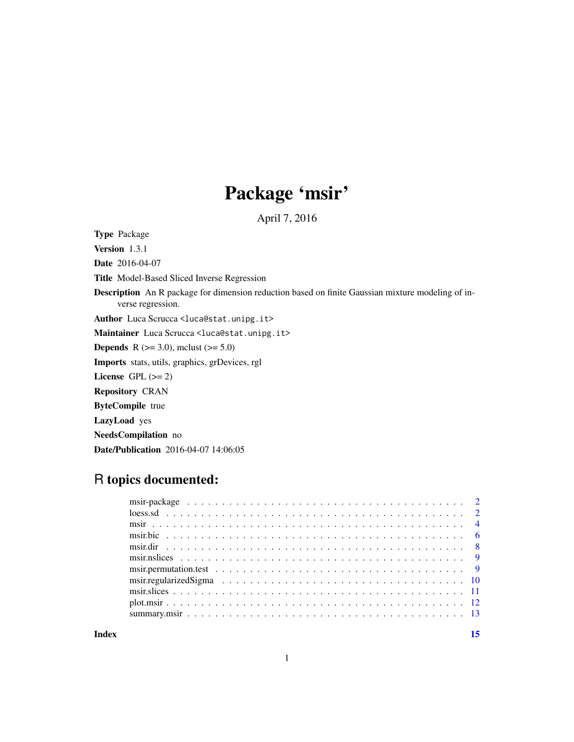# Package 'msir'

April 7, 2016

<span id="page-0-0"></span>Type Package

Version 1.3.1 Date 2016-04-07 Title Model-Based Sliced Inverse Regression Description An R package for dimension reduction based on finite Gaussian mixture modeling of inverse regression. Author Luca Scrucca <luca@stat.unipg.it> Maintainer Luca Scrucca <luca@stat.unipg.it> **Depends** R ( $>= 3.0$ ), mclust ( $>= 5.0$ ) Imports stats, utils, graphics, grDevices, rgl License GPL  $(>= 2)$ Repository CRAN ByteCompile true LazyLoad yes NeedsCompilation no Date/Publication 2016-04-07 14:06:05

## R topics documented:

**Index** [15](#page-14-0)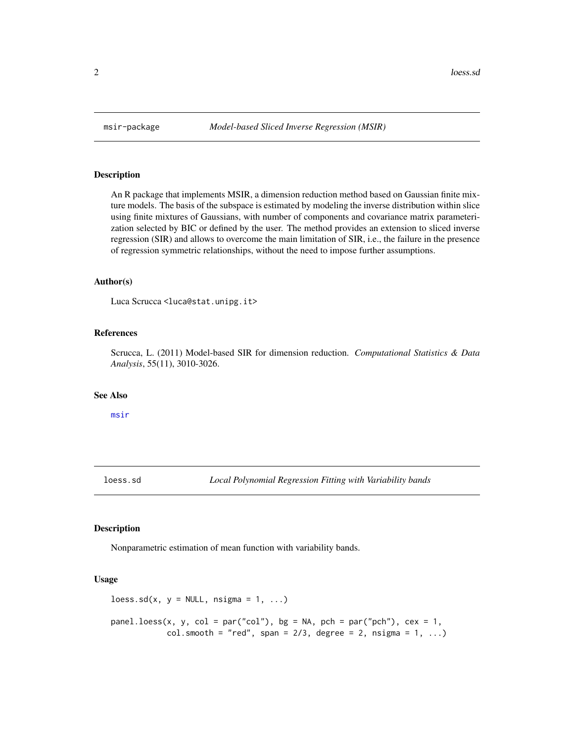An R package that implements MSIR, a dimension reduction method based on Gaussian finite mixture models. The basis of the subspace is estimated by modeling the inverse distribution within slice using finite mixtures of Gaussians, with number of components and covariance matrix parameterization selected by BIC or defined by the user. The method provides an extension to sliced inverse regression (SIR) and allows to overcome the main limitation of SIR, i.e., the failure in the presence of regression symmetric relationships, without the need to impose further assumptions.

#### Author(s)

Luca Scrucca <luca@stat.unipg.it>

#### References

Scrucca, L. (2011) Model-based SIR for dimension reduction. *Computational Statistics & Data Analysis*, 55(11), 3010-3026.

#### See Also

[msir](#page-3-1)

loess.sd *Local Polynomial Regression Fitting with Variability bands*

#### **Description**

Nonparametric estimation of mean function with variability bands.

#### Usage

```
\text{loss.sd}(x, y = \text{NULL}, \text{nsigma} = 1, ...)
```

```
panel.loess(x, y, col = par("col"), bg = NA, pch = par("pch"), cex = 1,
            col.smooth = "red", span = 2/3, degree = 2, nsigma = 1, ...)
```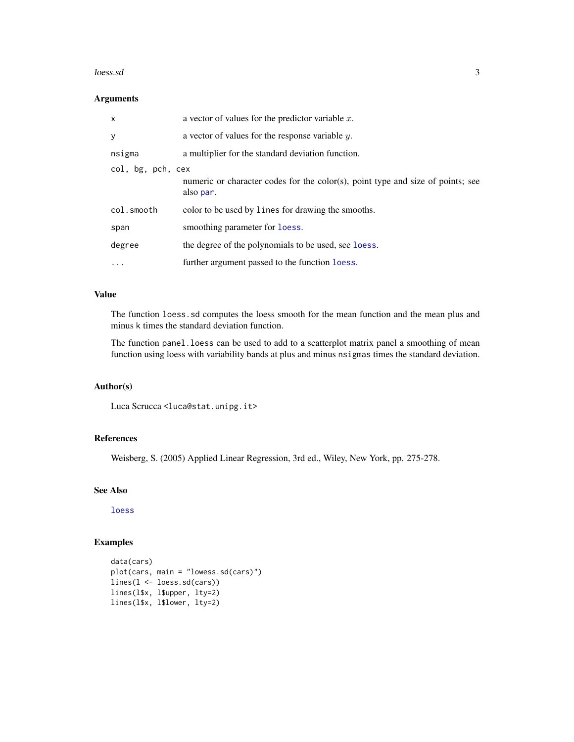#### <span id="page-2-0"></span> $loes.sd$   $3$

#### Arguments

| x                 | a vector of values for the predictor variable $x$ .                                          |
|-------------------|----------------------------------------------------------------------------------------------|
| у                 | a vector of values for the response variable $y$ .                                           |
| nsigma            | a multiplier for the standard deviation function.                                            |
| col, bg, pch, cex | numeric or character codes for the color(s), point type and size of points; see<br>also par. |
| col.smooth        | color to be used by lines for drawing the smooths.                                           |
| span              | smoothing parameter for loess.                                                               |
| degree            | the degree of the polynomials to be used, see loess.                                         |
| $\cdots$          | further argument passed to the function loess.                                               |

#### Value

The function loess.sd computes the loess smooth for the mean function and the mean plus and minus k times the standard deviation function.

The function panel.loess can be used to add to a scatterplot matrix panel a smoothing of mean function using loess with variability bands at plus and minus nsigmas times the standard deviation.

#### Author(s)

Luca Scrucca <luca@stat.unipg.it>

#### References

Weisberg, S. (2005) Applied Linear Regression, 3rd ed., Wiley, New York, pp. 275-278.

#### See Also

[loess](#page-0-0)

#### Examples

```
data(cars)
plot(cars, main = "lowess.sd(cars)")
lines(l <- loess.sd(cars))
lines(l$x, l$upper, lty=2)
lines(l$x, l$lower, lty=2)
```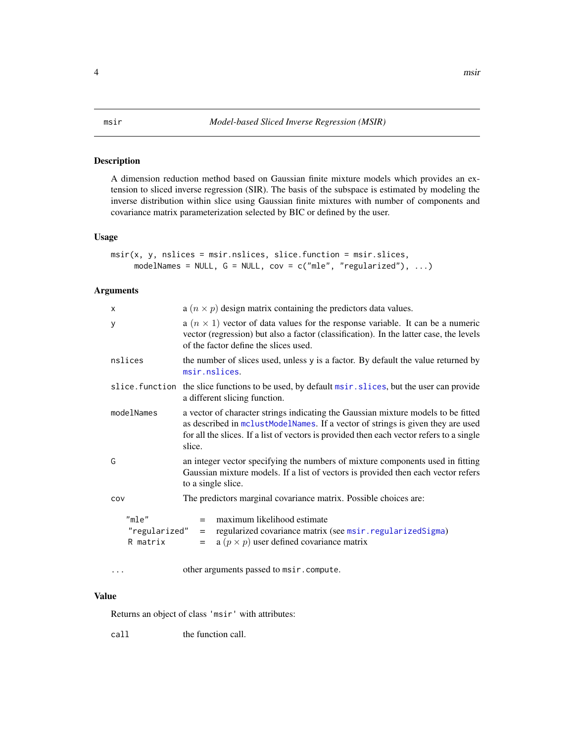<span id="page-3-1"></span><span id="page-3-0"></span>A dimension reduction method based on Gaussian finite mixture models which provides an extension to sliced inverse regression (SIR). The basis of the subspace is estimated by modeling the inverse distribution within slice using Gaussian finite mixtures with number of components and covariance matrix parameterization selected by BIC or defined by the user.

#### Usage

```
msir(x, y, nslices = msir.nslices, slice.function = msir.slices,
     modelNames = NULL, G = NULL, cov = c("mle", "regularized"), ...
```
#### Arguments

| X                                  | a $(n \times p)$ design matrix containing the predictors data values.                                                                                                                                                                                                      |  |  |  |
|------------------------------------|----------------------------------------------------------------------------------------------------------------------------------------------------------------------------------------------------------------------------------------------------------------------------|--|--|--|
| У                                  | a $(n \times 1)$ vector of data values for the response variable. It can be a numeric<br>vector (regression) but also a factor (classification). In the latter case, the levels<br>of the factor define the slices used.                                                   |  |  |  |
| nslices                            | the number of slices used, unless y is a factor. By default the value returned by<br>msir.nslices.                                                                                                                                                                         |  |  |  |
|                                    | slice. function the slice functions to be used, by default msir. slices, but the user can provide<br>a different slicing function.                                                                                                                                         |  |  |  |
| modelNames                         | a vector of character strings indicating the Gaussian mixture models to be fitted<br>as described in mclustModelNames. If a vector of strings is given they are used<br>for all the slices. If a list of vectors is provided then each vector refers to a single<br>slice. |  |  |  |
| G                                  | an integer vector specifying the numbers of mixture components used in fitting<br>Gaussian mixture models. If a list of vectors is provided then each vector refers<br>to a single slice.                                                                                  |  |  |  |
| COV                                | The predictors marginal covariance matrix. Possible choices are:                                                                                                                                                                                                           |  |  |  |
| "mle"<br>"regularized"<br>R matrix | maximum likelihood estimate<br>$=$<br>regularized covariance matrix (see msir.regularizedSigma)<br>$=$<br>a $(p \times p)$ user defined covariance matrix<br>$=$                                                                                                           |  |  |  |
|                                    | other arguments passed to msir.compute.                                                                                                                                                                                                                                    |  |  |  |

#### Value

Returns an object of class 'msir' with attributes:

call the function call.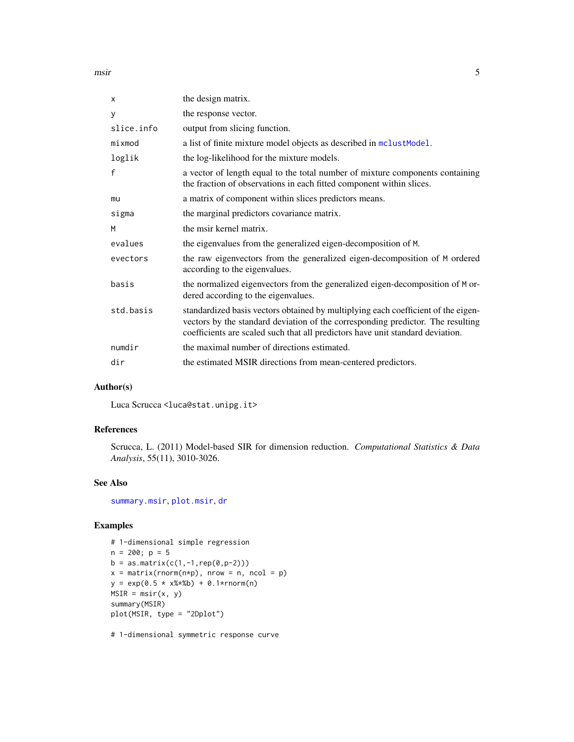<span id="page-4-0"></span>msir 5

| x            | the design matrix.                                                                                                                                                                                                                                     |
|--------------|--------------------------------------------------------------------------------------------------------------------------------------------------------------------------------------------------------------------------------------------------------|
| У            | the response vector.                                                                                                                                                                                                                                   |
| slice.info   | output from slicing function.                                                                                                                                                                                                                          |
| mixmod       | a list of finite mixture model objects as described in mclustModel.                                                                                                                                                                                    |
| loglik       | the log-likelihood for the mixture models.                                                                                                                                                                                                             |
| $\mathsf{f}$ | a vector of length equal to the total number of mixture components containing<br>the fraction of observations in each fitted component within slices.                                                                                                  |
| mu           | a matrix of component within slices predictors means.                                                                                                                                                                                                  |
| sigma        | the marginal predictors covariance matrix.                                                                                                                                                                                                             |
| M            | the msir kernel matrix.                                                                                                                                                                                                                                |
| evalues      | the eigenvalues from the generalized eigen-decomposition of M.                                                                                                                                                                                         |
| evectors     | the raw eigenvectors from the generalized eigen-decomposition of M ordered<br>according to the eigenvalues.                                                                                                                                            |
| basis        | the normalized eigenvectors from the generalized eigen-decomposition of M or-<br>dered according to the eigenvalues.                                                                                                                                   |
| std.basis    | standardized basis vectors obtained by multiplying each coefficient of the eigen-<br>vectors by the standard deviation of the corresponding predictor. The resulting<br>coefficients are scaled such that all predictors have unit standard deviation. |
| numdir       | the maximal number of directions estimated.                                                                                                                                                                                                            |
| dir          | the estimated MSIR directions from mean-centered predictors.                                                                                                                                                                                           |
|              |                                                                                                                                                                                                                                                        |

### Author(s)

Luca Scrucca <luca@stat.unipg.it>

#### References

Scrucca, L. (2011) Model-based SIR for dimension reduction. *Computational Statistics & Data Analysis*, 55(11), 3010-3026.

#### See Also

[summary.msir](#page-12-1), [plot.msir](#page-11-1), [dr](#page-0-0)

### Examples

```
# 1-dimensional simple regression
n = 200; p = 5b = as_matrix(c(1, -1, rep(0, p-2)))x = matrix(rnorm(n*p), nrow = n, ncol = p)y = exp(0.5 + x%8*) + 0.1*rnorm(n)MSIR = misir(x, y)summary(MSIR)
plot(MSIR, type = "2Dplot")
```
# 1-dimensional symmetric response curve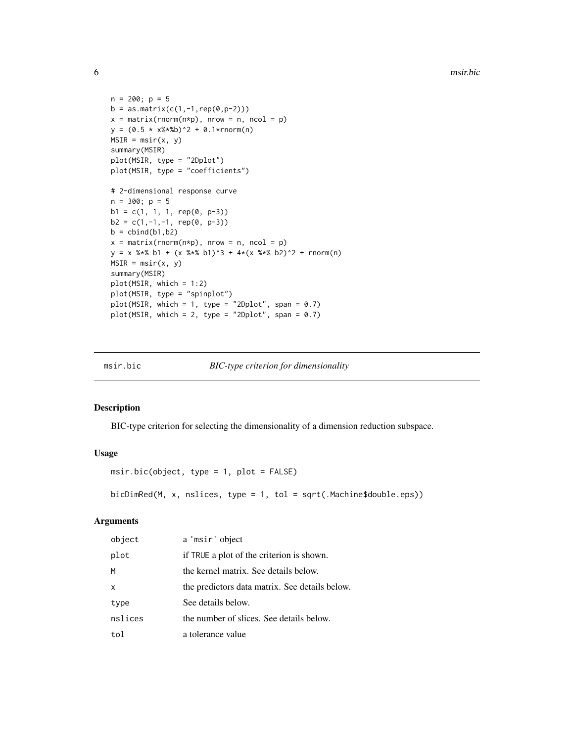```
n = 200; p = 5b = as_matrix(c(1, -1, rep(0, p-2)))x = matrix(rnorm(n*p), nrow = n, ncol = p)y = (0.5 * x%*)^2 + 0.1*rnorm(n)MSIR = misir(x, y)summary(MSIR)
plot(MSIR, type = "2Dplot")
plot(MSIR, type = "coefficients")
# 2-dimensional response curve
n = 300; p = 5b1 = c(1, 1, 1, rep(0, p-3))b2 = c(1,-1,-1, rep(0, p-3))b = \text{cbind}(b1, b2)x = matrix(rnorm(n*p), nrow = n, ncol = p)y = x %*% b1 + (x %*% b1)^3 + 4*(x %*% b2)^2 + rnorm(n)MSIR = msir(x, y)summary(MSIR)
plot(MSIR, which = 1:2)
plot(MSIR, type = "spinplot")
plot(MSIR, which = 1, type = "2Dplot", span = 0.7)
plot(MSIR, which = 2, type = "2Dplot", span = 0.7)
```
msir.bic *BIC-type criterion for dimensionality*

#### Description

BIC-type criterion for selecting the dimensionality of a dimension reduction subspace.

#### Usage

```
msir.bic(object, type = 1, plot = FALSE)
```
bicDimRed(M, x, nslices, type = 1, tol = sqrt(.Machine\$double.eps))

#### Arguments

| object  | a 'msir' object                                |
|---------|------------------------------------------------|
| plot    | if TRUE a plot of the criterion is shown.      |
| M       | the kernel matrix. See details below.          |
| x       | the predictors data matrix. See details below. |
| type    | See details below.                             |
| nslices | the number of slices. See details below.       |
| tol     | a tolerance value                              |

<span id="page-5-0"></span>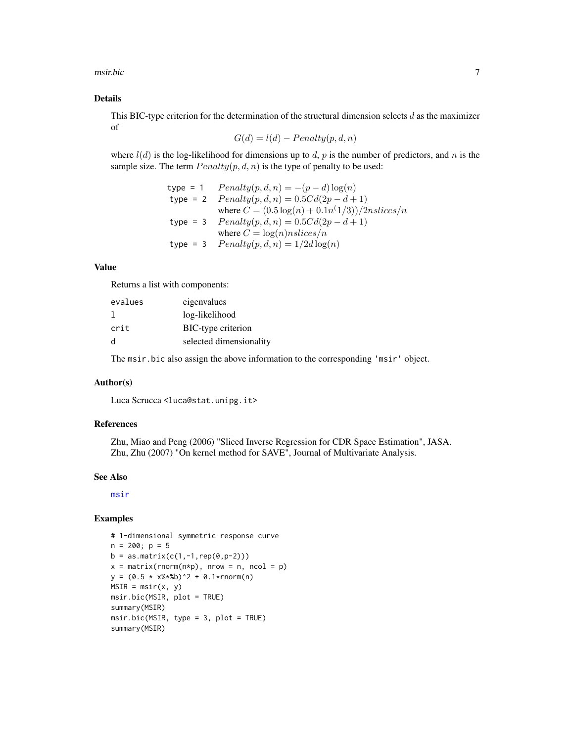<span id="page-6-0"></span>msir.bic 7

#### Details

This BIC-type criterion for the determination of the structural dimension selects  $d$  as the maximizer of

$$
G(d) = l(d) - Penalty(p, d, n)
$$

where  $l(d)$  is the log-likelihood for dimensions up to d, p is the number of predictors, and n is the sample size. The term  $Penalty(p, d, n)$  is the type of penalty to be used:

```
type = 1 Penalty(p, d, n) = -(p - d) \log(n)type = 2 Penalty(p, d, n) = 0.5Cd(2p - d + 1)where C = (0.5 \log(n) + 0.1n^(1/3))/2n slices/ntype = 3 Penalty(p, d, n) = 0.5Cd(2p - d + 1)where C = \log(n)nslices/n
type = 3 Penalty(p, d, n) = 1/2d \log(n)
```
#### Value

Returns a list with components:

| evalues      | eigenvalues             |
|--------------|-------------------------|
|              | log-likelihood          |
| crit         | BIC-type criterion      |
| <sub>d</sub> | selected dimensionality |

The msir.bic also assign the above information to the corresponding 'msir' object.

#### Author(s)

Luca Scrucca <luca@stat.unipg.it>

#### References

Zhu, Miao and Peng (2006) "Sliced Inverse Regression for CDR Space Estimation", JASA. Zhu, Zhu (2007) "On kernel method for SAVE", Journal of Multivariate Analysis.

#### See Also

[msir](#page-3-1)

#### Examples

```
# 1-dimensional symmetric response curve
n = 200; p = 5b = as_matrix(c(1, -1, rep(0, p-2)))x = matrix(rnorm(n*p), nrow = n, ncol = p)y = (0.5 * x% * %b)^2 + 0.1*rnorm(n)MSIR = msir(x, y)msir.bic(MSIR, plot = TRUE)
summary(MSIR)
msir.bic(MSIR, type = 3, plot = TRUE)
summary(MSIR)
```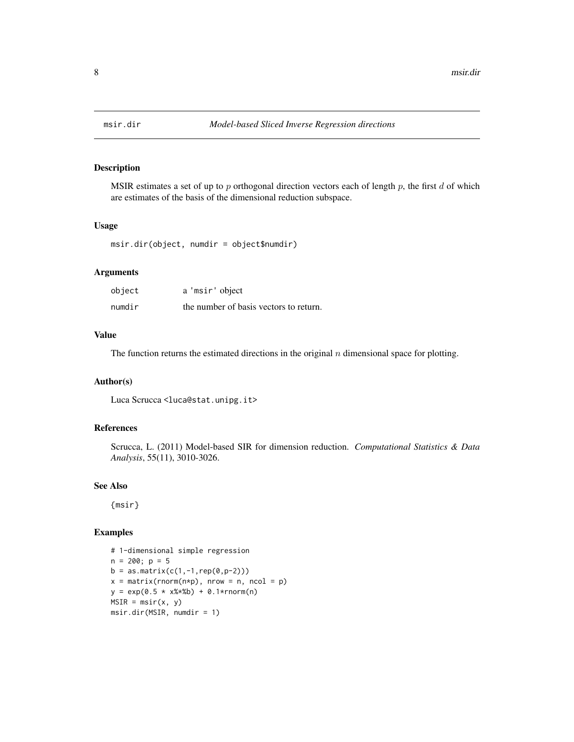<span id="page-7-0"></span>

MSIR estimates a set of up to  $p$  orthogonal direction vectors each of length  $p$ , the first  $d$  of which are estimates of the basis of the dimensional reduction subspace.

#### Usage

msir.dir(object, numdir = object\$numdir)

#### Arguments

| object | a 'msir' object                        |
|--------|----------------------------------------|
| numdir | the number of basis vectors to return. |

#### Value

The function returns the estimated directions in the original  $n$  dimensional space for plotting.

#### Author(s)

Luca Scrucca <luca@stat.unipg.it>

#### References

Scrucca, L. (2011) Model-based SIR for dimension reduction. *Computational Statistics & Data Analysis*, 55(11), 3010-3026.

#### See Also

{msir}

#### Examples

```
# 1-dimensional simple regression
n = 200; p = 5b = as_matrix(c(1, -1, rep(0, p-2)))x = matrix(rnorm(n*p), nrow = n, ncol = p)y = exp(0.5 * x **b) + 0.1 * rnorm(n)
MSIR = msir(x, y)msir.dir(MSIR, numdir = 1)
```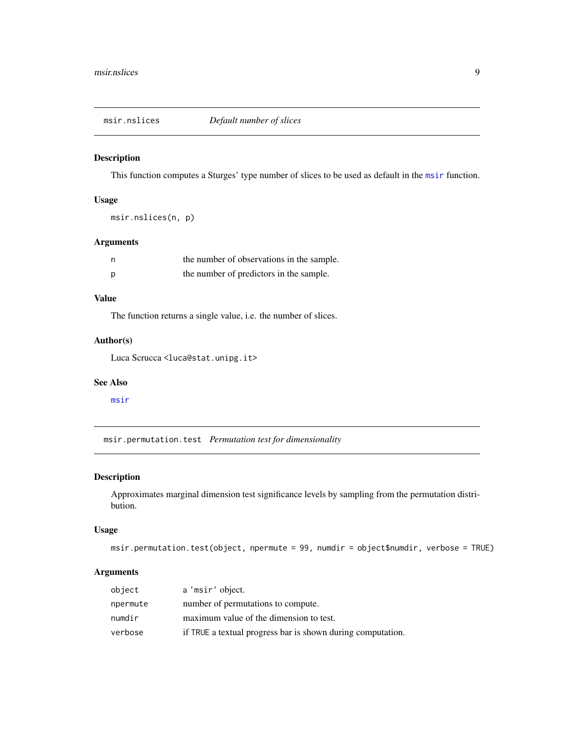<span id="page-8-1"></span><span id="page-8-0"></span>

This function computes a Sturges' type number of slices to be used as default in the [msir](#page-3-1) function.

#### Usage

msir.nslices(n, p)

#### Arguments

|   | the number of observations in the sample. |
|---|-------------------------------------------|
| D | the number of predictors in the sample.   |

#### Value

The function returns a single value, i.e. the number of slices.

#### Author(s)

Luca Scrucca <luca@stat.unipg.it>

#### See Also

[msir](#page-3-1)

msir.permutation.test *Permutation test for dimensionality*

#### Description

Approximates marginal dimension test significance levels by sampling from the permutation distribution.

#### Usage

```
msir.permutation.test(object, npermute = 99, numdir = object$numdir, verbose = TRUE)
```
#### Arguments

| object   | a 'msir' object.                                            |
|----------|-------------------------------------------------------------|
| npermute | number of permutations to compute.                          |
| numdir   | maximum value of the dimension to test.                     |
| verbose  | if TRUE a textual progress bar is shown during computation. |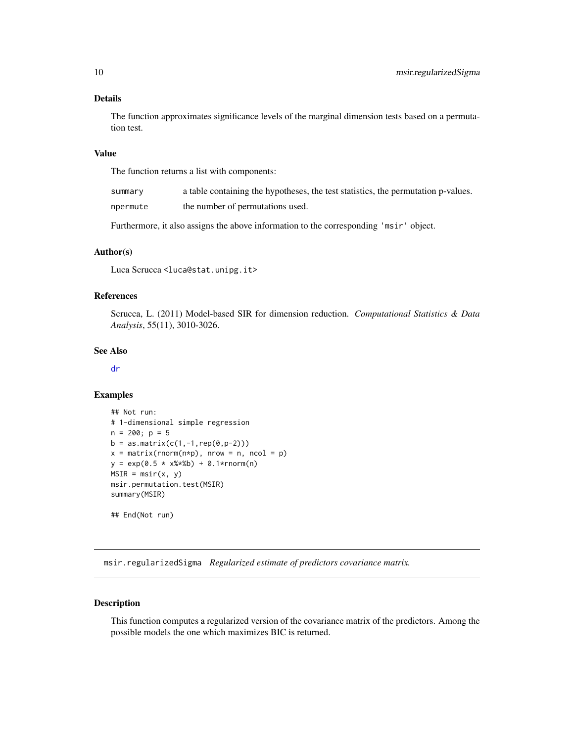#### <span id="page-9-0"></span>Details

The function approximates significance levels of the marginal dimension tests based on a permutation test.

#### Value

The function returns a list with components:

| summary  | a table containing the hypotheses, the test statistics, the permutation p-values. |
|----------|-----------------------------------------------------------------------------------|
| npermute | the number of permutations used.                                                  |

Furthermore, it also assigns the above information to the corresponding 'msir' object.

#### Author(s)

Luca Scrucca <luca@stat.unipg.it>

#### References

Scrucca, L. (2011) Model-based SIR for dimension reduction. *Computational Statistics & Data Analysis*, 55(11), 3010-3026.

#### See Also

[dr](#page-0-0)

#### Examples

```
## Not run:
# 1-dimensional simple regression
n = 200; p = 5b = as_matrix(c(1, -1, rep(0, p-2)))x = matrix(rnorm(n*p), nrow = n, ncol = p)y = exp(0.5 * x%*) + 0.1*rnorm(n)MSIR = msir(x, y)msir.permutation.test(MSIR)
summary(MSIR)
## End(Not run)
```
<span id="page-9-1"></span>msir.regularizedSigma *Regularized estimate of predictors covariance matrix.*

#### Description

This function computes a regularized version of the covariance matrix of the predictors. Among the possible models the one which maximizes BIC is returned.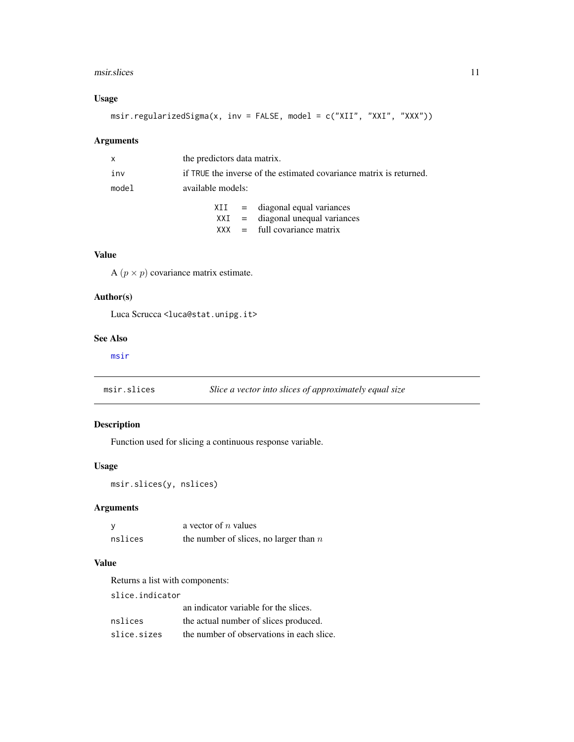#### <span id="page-10-0"></span>msir.slices 11

#### Usage

msir.regularizedSigma(x, inv = FALSE, model = c("XII", "XXI", "XXX"))

#### Arguments

| X     | the predictors data matrix. |                                                                     |                                    |  |
|-------|-----------------------------|---------------------------------------------------------------------|------------------------------------|--|
| inv   |                             | if TRUE the inverse of the estimated covariance matrix is returned. |                                    |  |
| model | available models:           |                                                                     |                                    |  |
|       |                             |                                                                     | $XII = diagonal equal variances$   |  |
|       |                             |                                                                     | $XXI$ = diagonal unequal variances |  |
|       |                             |                                                                     | $XXX = full covariance matrix$     |  |

#### Value

A  $(p \times p)$  covariance matrix estimate.

#### Author(s)

Luca Scrucca <luca@stat.unipg.it>

#### See Also

[msir](#page-3-1)

<span id="page-10-1"></span>

| msir.slices | Slice a vector into slices of approximately equal size |  |
|-------------|--------------------------------------------------------|--|
|             |                                                        |  |

### Description

Function used for slicing a continuous response variable.

#### Usage

msir.slices(y, nslices)

#### Arguments

|         | a vector of $n$ values                   |
|---------|------------------------------------------|
| nslices | the number of slices, no larger than $n$ |

#### Value

Returns a list with components:

slice.indicator

|             | an indicator variable for the slices.     |
|-------------|-------------------------------------------|
| nslices     | the actual number of slices produced.     |
| slice.sizes | the number of observations in each slice. |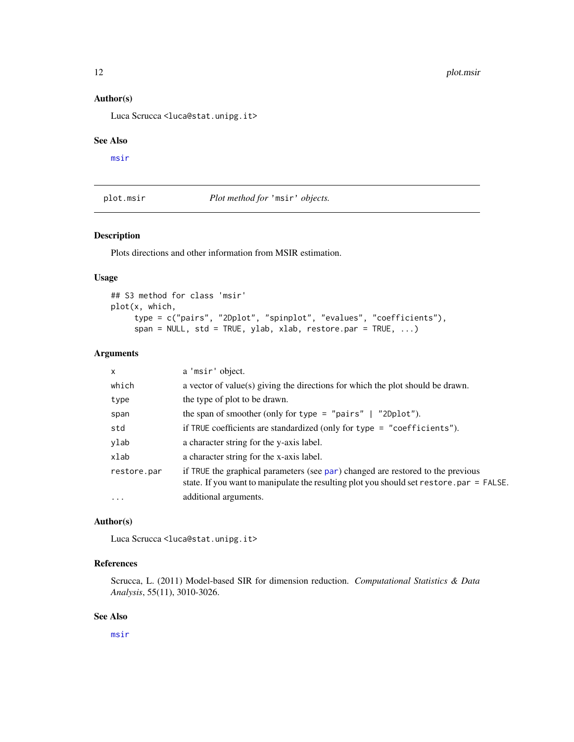#### <span id="page-11-0"></span>Author(s)

Luca Scrucca <luca@stat.unipg.it>

#### See Also

[msir](#page-3-1)

<span id="page-11-1"></span>plot.msir *Plot method for* 'msir' *objects.*

#### Description

Plots directions and other information from MSIR estimation.

#### Usage

```
## S3 method for class 'msir'
plot(x, which,
     type = c("pairs", "2Dplot", "spinplot", "evalues", "coefficients"),
     span = NULL, std = TRUE, ylab, xlab, restore. par = TRUE, ...
```
#### Arguments

| $\mathsf{x}$ | a 'msir' object.                                                                                                                                                            |
|--------------|-----------------------------------------------------------------------------------------------------------------------------------------------------------------------------|
| which        | a vector of value(s) giving the directions for which the plot should be drawn.                                                                                              |
| type         | the type of plot to be drawn.                                                                                                                                               |
| span         | the span of smoother (only for type = "pairs" $\mid$ "2Dplot").                                                                                                             |
| std          | if TRUE coefficients are standardized (only for type = "coefficients").                                                                                                     |
| ylab         | a character string for the y-axis label.                                                                                                                                    |
| xlab         | a character string for the x-axis label.                                                                                                                                    |
| restore.par  | if TRUE the graphical parameters (see par) changed are restored to the previous<br>state. If you want to manipulate the resulting plot you should set restore. par = FALSE. |
| $\cdots$     | additional arguments.                                                                                                                                                       |

#### Author(s)

Luca Scrucca <luca@stat.unipg.it>

#### References

Scrucca, L. (2011) Model-based SIR for dimension reduction. *Computational Statistics & Data Analysis*, 55(11), 3010-3026.

#### See Also

[msir](#page-3-1)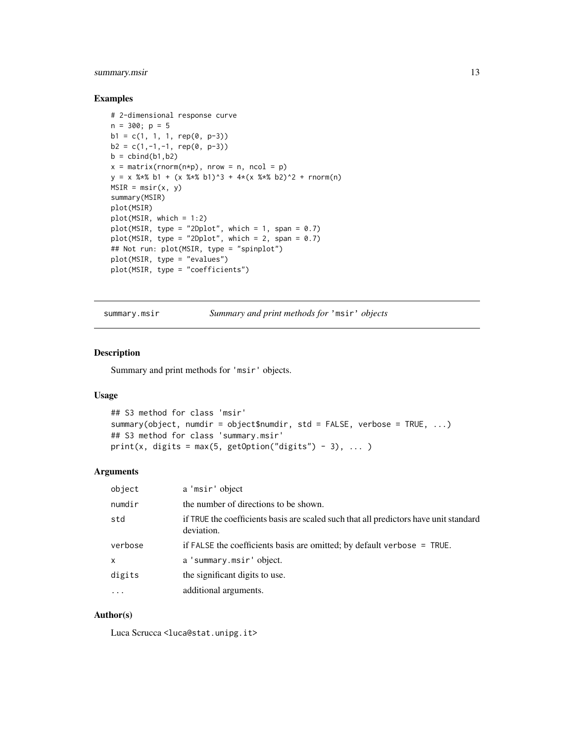#### <span id="page-12-0"></span>summary.msir 13

#### Examples

```
# 2-dimensional response curve
n = 300; p = 5b1 = c(1, 1, 1, rep(0, p-3))b2 = c(1,-1,-1, rep(0, p-3))b = \text{cbind}(b1, b2)x = matrix(rnorm(n*p), nrow = n, ncol = p)y = x %*% b1 + (x %*% b1)^3 + 4*(x %*% b2)^2 + rnorm(n)MSIR = msir(x, y)summary(MSIR)
plot(MSIR)
plot(MSIR, which = 1:2)
plot(MSIR, type = "2Dplot", which = 1, span = 0.7)plot(MSIR, type = "2Dplot", which = 2, span = 0.7)## Not run: plot(MSIR, type = "spinplot")
plot(MSIR, type = "evalues")
plot(MSIR, type = "coefficients")
```
<span id="page-12-1"></span>summary.msir *Summary and print methods for* 'msir' *objects*

#### Description

Summary and print methods for 'msir' objects.

#### Usage

```
## S3 method for class 'msir'
summary(object, numdir = object$numdir, std = FALSE, verbose = TRUE, ...)
## S3 method for class 'summary.msir'
print(x, digits = max(5, getOption("digits") - 3), ... )
```
#### Arguments

| object       | a 'msir' object                                                                                     |
|--------------|-----------------------------------------------------------------------------------------------------|
| numdir       | the number of directions to be shown.                                                               |
| std          | if TRUE the coefficients basis are scaled such that all predictors have unit standard<br>deviation. |
| verbose      | if FALSE the coefficients basis are omitted; by default verbose $=$ TRUE.                           |
| $\mathsf{x}$ | a 'summary.msir' object.                                                                            |
| digits       | the significant digits to use.                                                                      |
| $\ddotsc$    | additional arguments.                                                                               |

#### Author(s)

Luca Scrucca <luca@stat.unipg.it>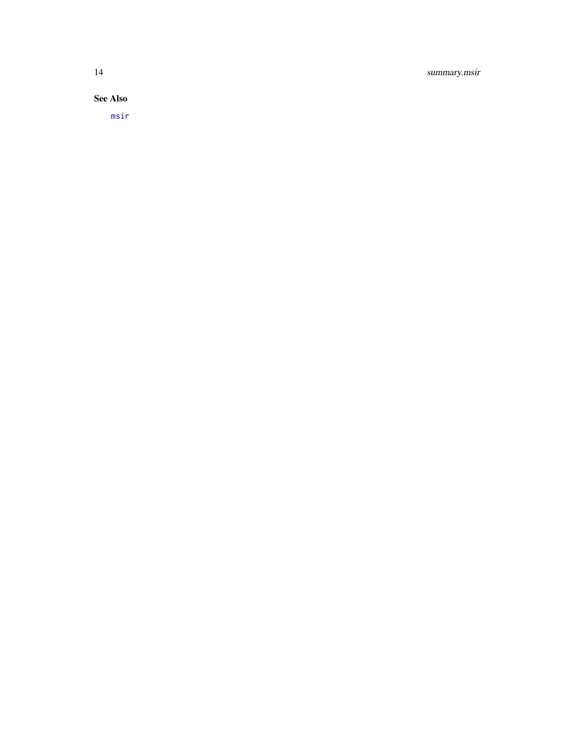### <span id="page-13-0"></span>14 summary.msir

See Also

[msir](#page-3-1)